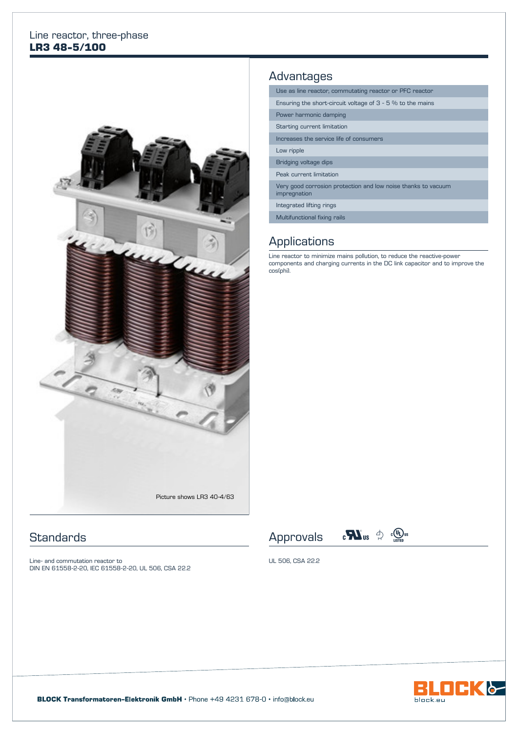#### Line reactor, three-phase **LR3 48-5/100**



## **Standards**

Line- and commutation reactor to DIN EN 61558-2-20, IEC 61558-2-20, UL 506, CSA 22.2

### Advantages

| Use as line reactor, commutating reactor or PFC reactor                       |  |  |  |  |
|-------------------------------------------------------------------------------|--|--|--|--|
| Ensuring the short-circuit voltage of $3 - 5$ % to the mains                  |  |  |  |  |
| Power harmonic damping                                                        |  |  |  |  |
| Starting current limitation                                                   |  |  |  |  |
| Increases the service life of consumers                                       |  |  |  |  |
| Low ripple                                                                    |  |  |  |  |
| Bridging voltage dips                                                         |  |  |  |  |
| Peak current limitation                                                       |  |  |  |  |
| Very good corrosion protection and low noise thanks to vacuum<br>impregnation |  |  |  |  |
| Integrated lifting rings                                                      |  |  |  |  |
| Multifunctional fixing rails                                                  |  |  |  |  |

### **Applications**

Line reactor to minimize mains pollution, to reduce the reactive-power components and charging currents in the DC link capacitor and to improve the cos(phi).





UL 506, CSA 22.2